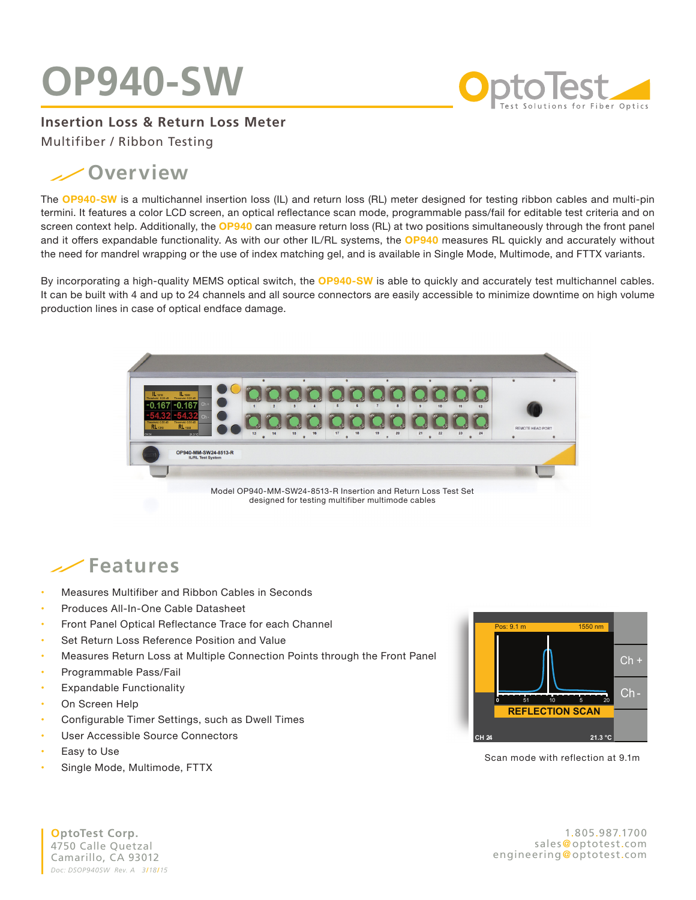## **OP940-SW**



**Insertion Loss & Return Loss Meter**

Multifiber / Ribbon Testing

## **Overview**

The **OP940-SW** is a multichannel insertion loss (IL) and return loss (RL) meter designed for testing ribbon cables and multi-pin termini. It features a color LCD screen, an optical reflectance scan mode, programmable pass/fail for editable test criteria and on screen context help. Additionally, the **OP940** can measure return loss (RL) at two positions simultaneously through the front panel and it offers expandable functionality. As with our other IL/RL systems, the **OP940** measures RL quickly and accurately without the need for mandrel wrapping or the use of index matching gel, and is available in Single Mode, Multimode, and FTTX variants.

By incorporating a high-quality MEMS optical switch, the **OP940-SW** is able to quickly and accurately test multichannel cables. **NEW** It can be built with 4 and up to 24 channels and all source connectors are easily accessible to minimize downtime on high volume production lines in case of optical endface damage.



designed for testing multifiber multimode cables

## **Features**

- **•**  Measures Multifiber and Ribbon Cables in Seconds
- **Produces All-In-One Cable Datasheet**
- **Front Panel Optical Reflectance Trace for each Channel**
- **Set Return Loss Reference Position and Value**
- **•**  Measures Return Loss at Multiple Connection Points through the Front Panel
- **•** Programmable Pass/Fail
- **Expandable Functionality**
- **On Screen Help**
- Configurable Timer Settings, such as Dwell Times
- **User Accessible Source Connectors**
- **Easy to Use**
- Single Mode, Multimode, FTTX



Scan mode with reflection at 9.1m

**OptoTest Corp.** 4750 Calle Quetzal Camarillo, CA 93012 *Doc: DSOP940SW Rev. A 3*/*18*/*15*